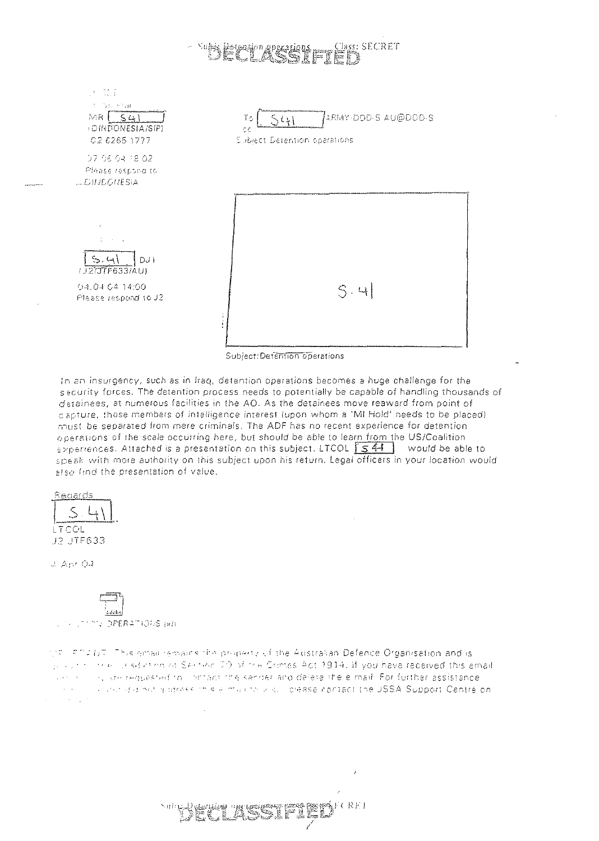## lass: SECRET

 $\mathcal{F} \in \mathbb{R}^2$ of the Hear  $MR(S4)$ ARMY-DOD-S AU@DOD-S To  $54+$ **IDINDONESIA/SIP)**  $\bar{\sigma}$   $\bar{\sigma}$ C2 6265 1777 Subiect Detention operations 07-06-04-18-02 Pfrase residing to **LEDITICONESIA**  $D.H$  $(J2)JTF633/A$ U) 04.04.04.14:00  $S \cdot 41$ Please respond to J2

Subject: Detention operations

In an insurgency, such as in Iraq, detention operations becomes a huge challenge for the security forces. The detention process needs to potentially be capable of handling thousands of detainees, at numerous facilities in the AO. As the detainees move reaward from point of capture, those members of intelligence interest (upon whom a 'MI Hold' needs to be placed) must be separated from mere criminals. The ADF has no recent experience for detention operations of the scale occurring here, but should be able to learn from the US/Coalition  $\frac{1}{2}$  speriences. Attached is a presentation on this subject. LTCOL  $\sqrt{541}$  would be able to speak with more authority on this subject upon his return. Legal officers in your location would also find the presentation of value.

| Redards |
|---------|
|         |
|         |
| i TCOL  |
| TF633   |

 $\pm$  Apr 0.1

**TEL OPERATIONS pids** 

the computer. This entail remains the property of the Australian Defence Organisation and is program three gradies on as Section 70 of the Crimes Act 1914. If you have received this email in the requested to instruct the secoed and deletenthelemed. For further assistance an exclusion of a idease this elimination and illustrate contact the USSA Support Centre on  $\sim 10^{-1}$  .

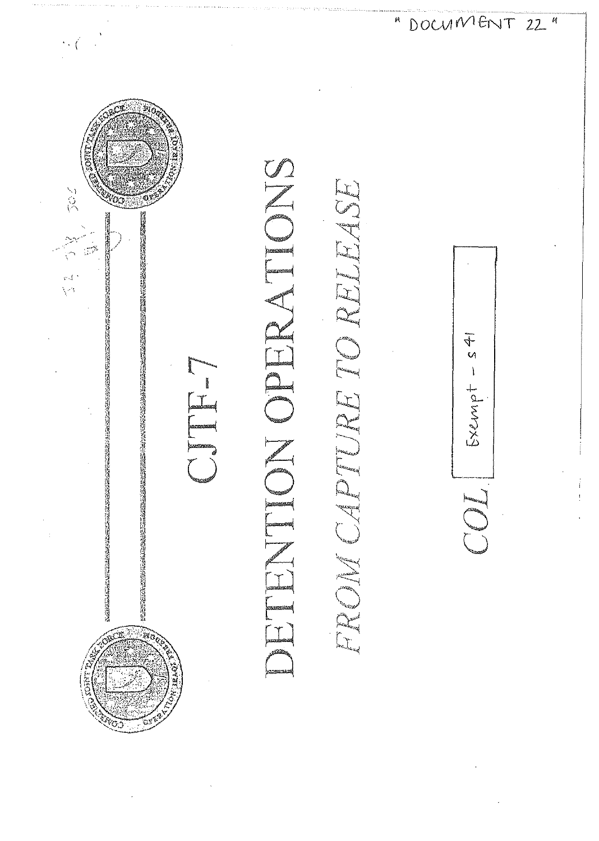

Exempt -

" DOCUMPENT 22"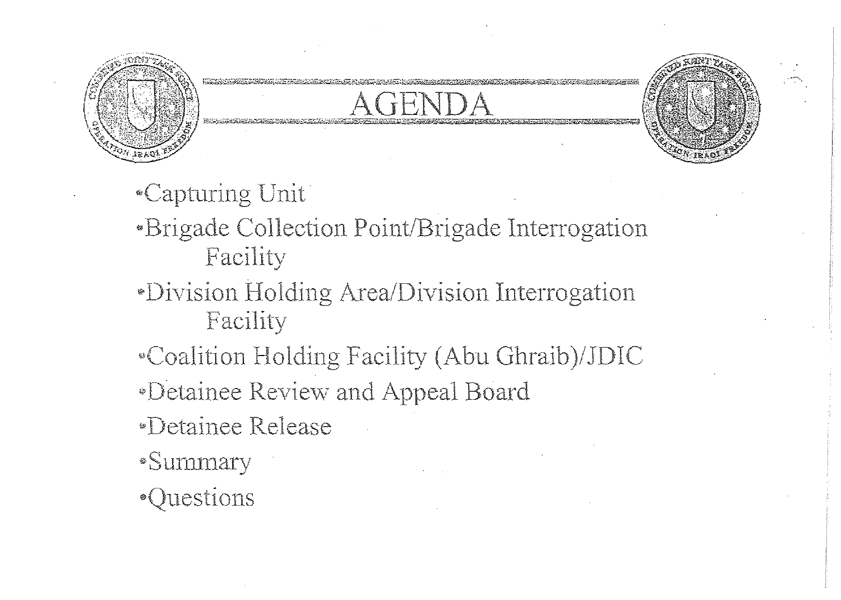



- «Capturing Unit
- \*Brigade Collection Point/Brigade Interrogation Facility
- *•Division Holding Area/Division Interrogation* Facility
- "Coalition Holding Facility (Abu Ghraib)/JDIC
- *•Detainee Review and Appeal Board*
- *•Detainee Release*
- ·Summary
- ·Questions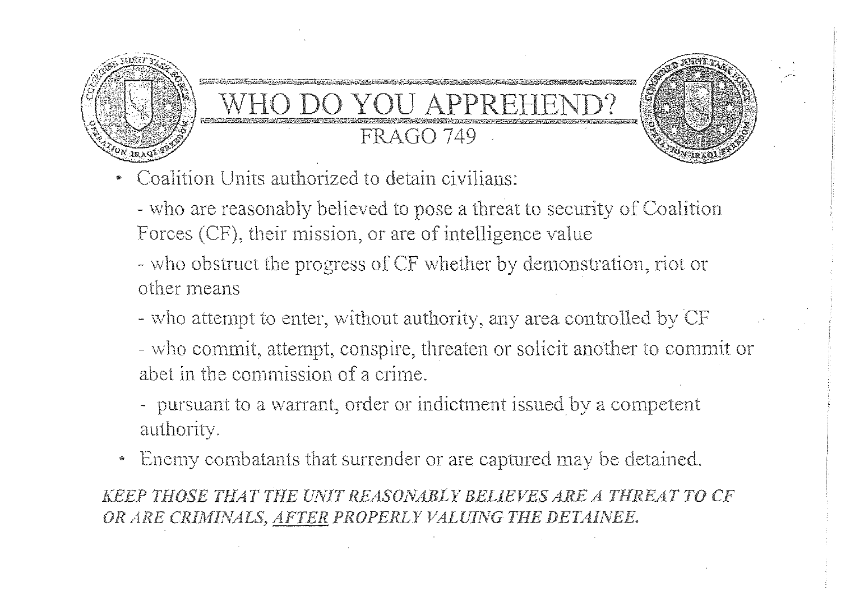

# O DO YOU AI **FRAGO 749**



- who are reasonably believed to pose a threat to security of Coalition Forces (CF), their mission, or are of intelligence value

- who obstruct the progress of CF whether by demonstration, riot or other means

- who attempt to enter, without authority, any area controlled by CF

- who commit, attempt, conspire, threaten or solicit another to commit or abet in the commission of a crime.

- pursuant to a warrant, order or indictment issued by a competent authority.

Enemy combatants that surrender or are captured may be detained. କ

KEEP THOSE THAT THE UNIT REASONABLY BELIEVES ARE A THREAT TO CF OR ARE CRIMINALS, AFTER PROPERLY VALUING THE DETAINEE.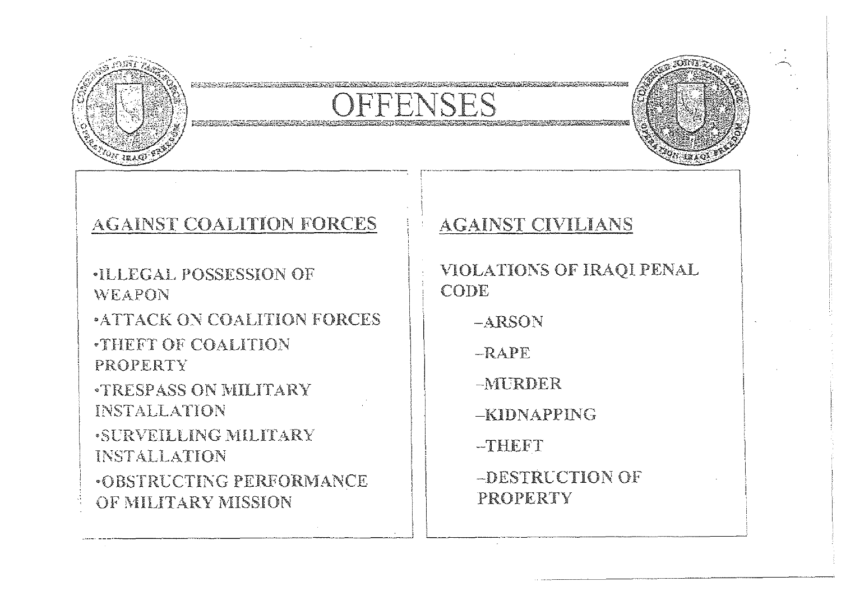



#### AGAINST COALITION FORCES

**ILLEGAL POSSESSION OF** WEAPON

**ATTACK ON COALITION FORCES THEFT OF COALITION** PROPERTY

**TRESPASS ON MILITARY** INSTALLATION

**SURVEILLING MILITARY** INSTALLATION

**.OBSTRUCTING PERFORMANCE** OF MILITARY MISSION

#### **AGAINST CIVILIANS**

VIOLATIONS OF IRAQI PENAL CODE

-ARSON

 $-RAPF$ 

-MURDER

-KIDNAPPING

-THEFT

-DESTRUCTION OF PROPERTY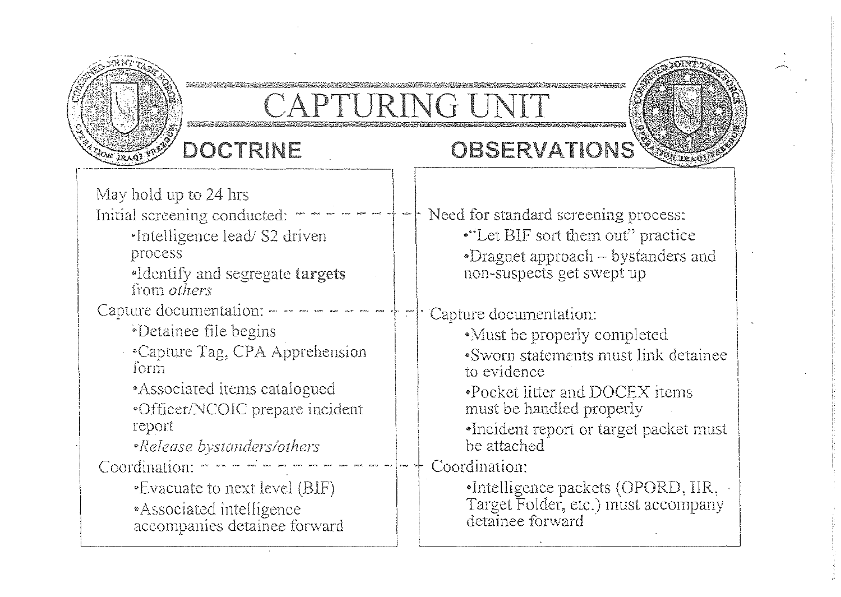

## DOCTRINE

## OBSERVATIONS

May hold up to 24 hrs

- Initial screening conducted:
	- \*Intelligence lead/ S2 driven process
	-
	- \*Identify and segregate targets from *others*
- Capture documentation: -
	- \*Detainee file begins
	- Capture Tag, CPA Apprehension form
		- \*Associated items catalogued
		- \*Officer/NCOIC prepare incident 1eport
		- *•Release bystanders/others*
- Coordination:  $\cdots$   $\cdots$   $\cdots$   $\cdots$ 
	- •Evacuate to next level (BIF) \*Associated intelligence
	- accompanies detainee forward

Need for standard screening process: •"Let BIF sort them out" practice •Dragnet approach – bystanders and non-suspects get swept up

Capture documentation:

- •Must be properly completed
- •Sworn statements must link detainee to evidence
- •Pocket litter and DOCEX items must be handled properly
- •Incident report or target packet must be attached
- Coordination:
	- •Intelligence packets (OPORD, IIR, Target Folder, etc.) must accompany detainee forward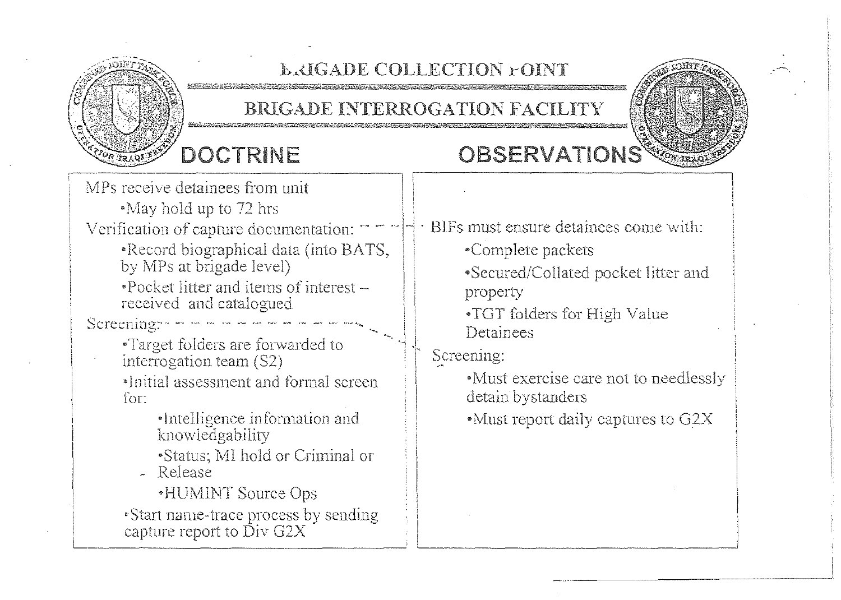

#### **LAIGADE COLLECTION FOINT**

#### BRIGADE INTERROGATION FACILITY

## DOCTRINE

## **OBSERVATIONS**

MPs receive detainees from unit \*May hold up to 72 hrs  $\cdot$  BIFs must ensure detainees come with: Verification of capture documentation: \*Record biographical data (into BATS, •Complete packets by MPs at brigade level) •Secured/Collated pocket litter and  $\cdot$ Pocket litter and items of interest  $$ property received and catalogued •TGT folders for High Value Screening: - -Detainees •Target folders are forwarded to Screening: interrogation team (S2) •Must exercise care not to needlessly •Initial assessment and formal screen detain bystanders for: •Intelligence information and • Must report daily captures to G2X knowledgability \*Status; MI hold or Criminal or - Release •HUMINT Source Ops • Start name-trace process by sending capture report to  $\tilde{Div}$  G2X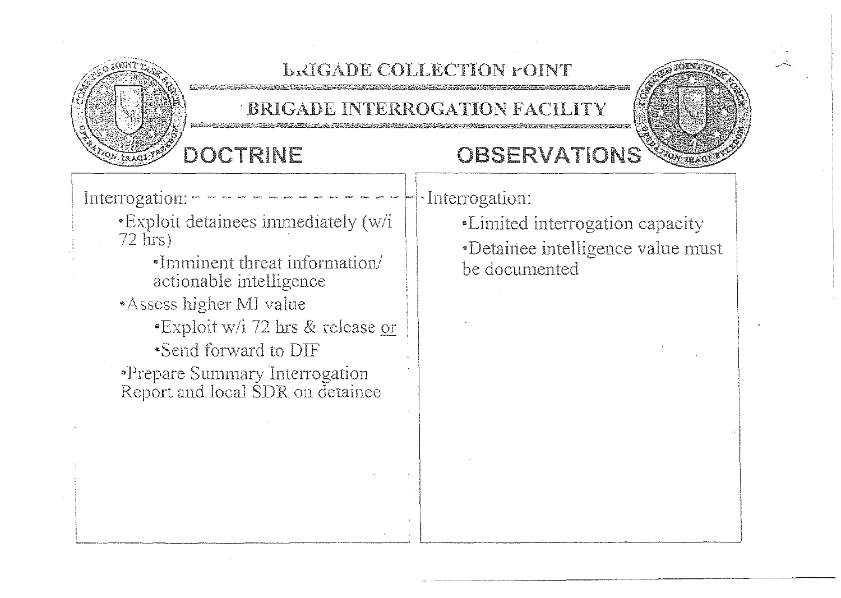

#### **LAIGADE COLLECTION FOINT**

BRIGADE INTERROGATION FACILITY

## DOCTRINE

## OBSERVATIONS

Interrogation:

- \*Exploit detainees immediately (w/i  $72$  firs)
- •Imminent threat information/ actionable intelligence Assess higher MI value \*Exploit w/i 72 hrs & release or •Send forward to DIF •Prepare Summary Interrogation<br>Report and local SDR on detainee

·Interrogation:

*\*Limited interrogation capacity* •Detainee intelligence value must. be documented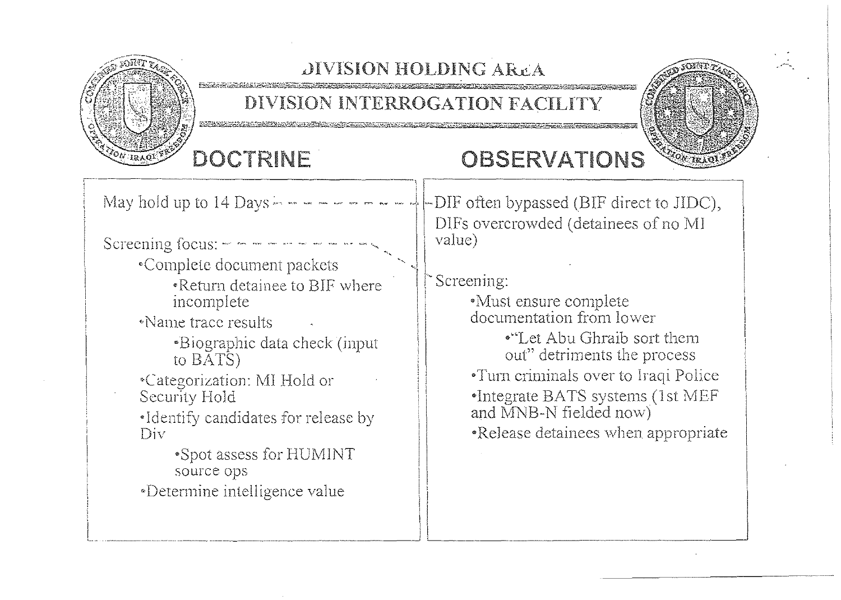

## **DIVISION HOLDING AREA**

### DIVISION INTERROGATION FACILITY

# DOCTRINE

# OBSERVATIONS

May hold up to  $14$  Days  $-$ DIF often bypassed (BIF direct to JIDC), DIFs overcrowded (detainees of no MI value) Screening focus:  $- - - - - - - -$ •Complete document packets Screening: .Return detainee to BIF where •Must ensure complete incomplete documentation from lower «Name frace results •"Let Abu Ghraih sort them •Biographic data check (input out" detriments the process to  $\overline{BAYS}$ •Turn criminals over to Iraqi Police \*Categorization: MI Hold or •Integrate BATS systems (1st MEF Security Hold and MNB-N fielded now) •Identify candidates for release by •Release detainees when appropriate Div \*Spot assess for HUMINT source ops «Determine intelligence value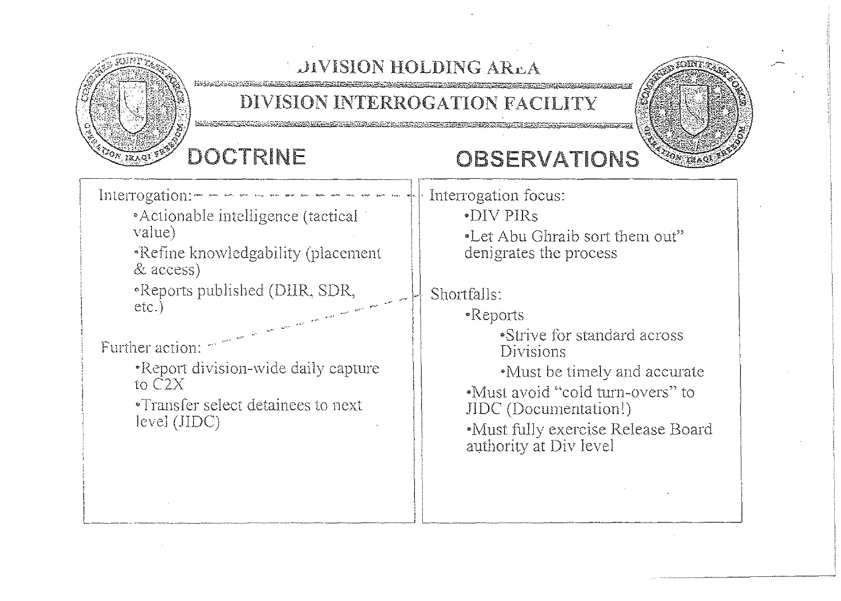

## *LIVISION HOLDING AREA*

#### DIVISION INTERROGATION FACILITY



## DOCTRINE

## OBSERVATIONS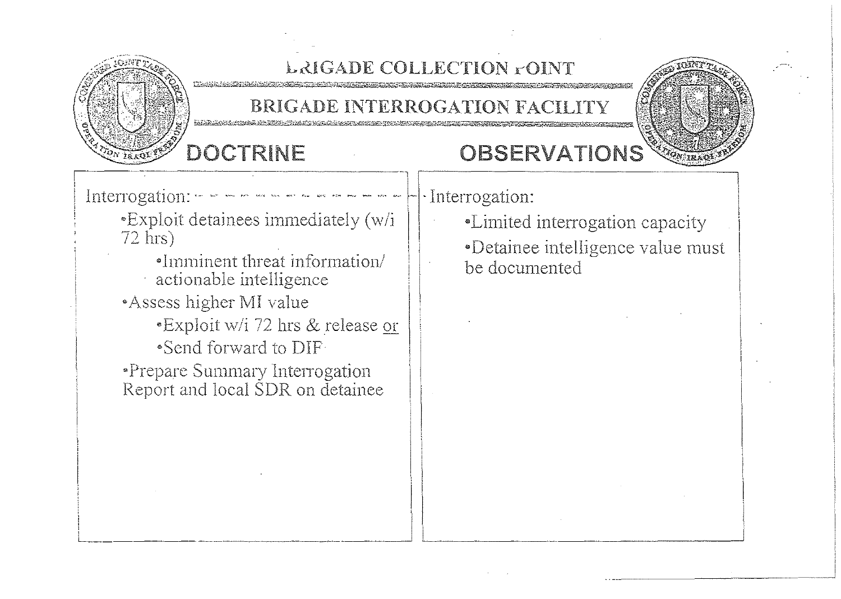

## LAIGADE COLLECTION FOINT

#### BRIGADE INTERROGATION FACILITY

## DOCTRINE

## OBSERVATIONS

Interrogation:

- \*Exploit detainees immediately (w/i  $72$  hrs)
	- •Imminent threat information/ actionable intelligence
- Assess higher MI value
	- \*Exploit w/i 72 hrs & release or •Send forward to DIF
- \*Prepare Summary Interrogation Report and local SDR on detainee

· Interrogation:

- •Limited interrogation capacity
- •Detainee intelligence value must be documented

**SONSTRAN**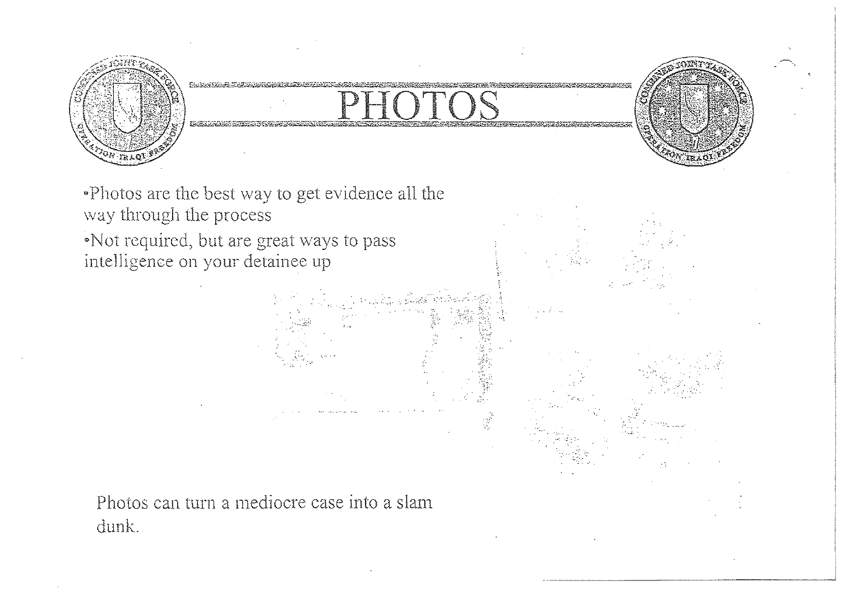

. Photos are the best way to get evidence all the way through the process Not required, but are great ways to pass

intelligence on your detainee up

Photos can turn a mediocre case into a slam dunk.